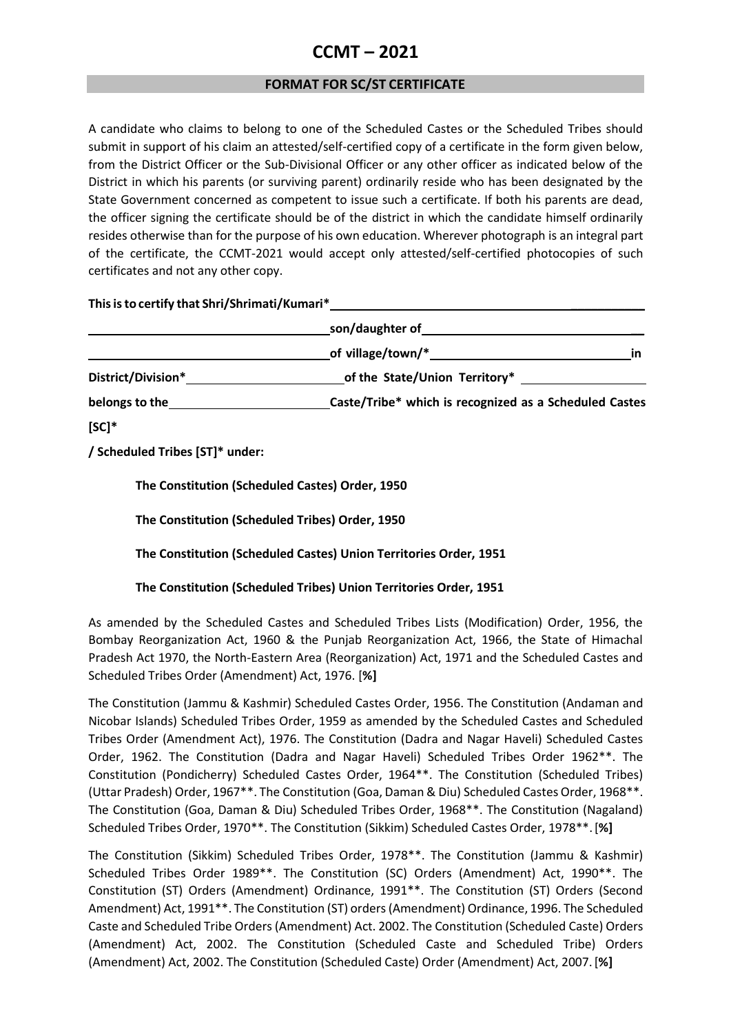## **CCMT – 2021**

## **FORMAT FOR SC/ST CERTIFICATE**

A candidate who claims to belong to one of the Scheduled Castes or the Scheduled Tribes should submit in support of his claim an attested/self-certified copy of a certificate in the form given below, from the District Officer or the Sub-Divisional Officer or any other officer as indicated below of the District in which his parents (or surviving parent) ordinarily reside who has been designated by the State Government concerned as competent to issue such a certificate. If both his parents are dead, the officer signing the certificate should be of the district in which the candidate himself ordinarily resides otherwise than for the purpose of his own education. Wherever photograph is an integral part of the certificate, the CCMT-2021 would accept only attested/self-certified photocopies of such certificates and not any other copy.

**Thisisto certify that Shri/Shrimati/Kumari\* \_\_\_\_\_\_\_\_\_\_\_**

|                    | son/daughter of                                        |
|--------------------|--------------------------------------------------------|
|                    | of village/town/*<br>ın                                |
| District/Division* | of the State/Union Territory*                          |
| belongs to the     | Caste/Tribe* which is recognized as a Scheduled Castes |
| $[SC]^*$           |                                                        |

**/ Scheduled Tribes [ST]\* under:**

**The Constitution (Scheduled Castes) Order, 1950**

**The Constitution (Scheduled Tribes) Order, 1950** 

**The Constitution (Scheduled Castes) Union Territories Order, 1951**

**The Constitution (Scheduled Tribes) Union Territories Order, 1951**

As amended by the Scheduled Castes and Scheduled Tribes Lists (Modification) Order, 1956, the Bombay Reorganization Act, 1960 & the Punjab Reorganization Act, 1966, the State of Himachal Pradesh Act 1970, the North-Eastern Area (Reorganization) Act, 1971 and the Scheduled Castes and Scheduled Tribes Order (Amendment) Act, 1976. [**%]**

The Constitution (Jammu & Kashmir) Scheduled Castes Order, 1956. The Constitution (Andaman and Nicobar Islands) Scheduled Tribes Order, 1959 as amended by the Scheduled Castes and Scheduled Tribes Order (Amendment Act), 1976. The Constitution (Dadra and Nagar Haveli) Scheduled Castes Order, 1962. The Constitution (Dadra and Nagar Haveli) Scheduled Tribes Order 1962\*\*. The Constitution (Pondicherry) Scheduled Castes Order, 1964\*\*. The Constitution (Scheduled Tribes) (Uttar Pradesh) Order, 1967\*\*. The Constitution (Goa, Daman & Diu) Scheduled Castes Order, 1968\*\*. The Constitution (Goa, Daman & Diu) Scheduled Tribes Order, 1968\*\*. The Constitution (Nagaland) Scheduled Tribes Order, 1970\*\*. The Constitution (Sikkim) Scheduled Castes Order, 1978\*\*.[**%]**

The Constitution (Sikkim) Scheduled Tribes Order, 1978\*\*. The Constitution (Jammu & Kashmir) Scheduled Tribes Order 1989\*\*. The Constitution (SC) Orders (Amendment) Act, 1990\*\*. The Constitution (ST) Orders (Amendment) Ordinance, 1991\*\*. The Constitution (ST) Orders (Second Amendment) Act, 1991\*\*. The Constitution (ST) orders(Amendment) Ordinance, 1996. The Scheduled Caste and Scheduled Tribe Orders (Amendment) Act. 2002. The Constitution (Scheduled Caste) Orders (Amendment) Act, 2002. The Constitution (Scheduled Caste and Scheduled Tribe) Orders (Amendment) Act, 2002. The Constitution (Scheduled Caste) Order (Amendment) Act, 2007.[**%]**